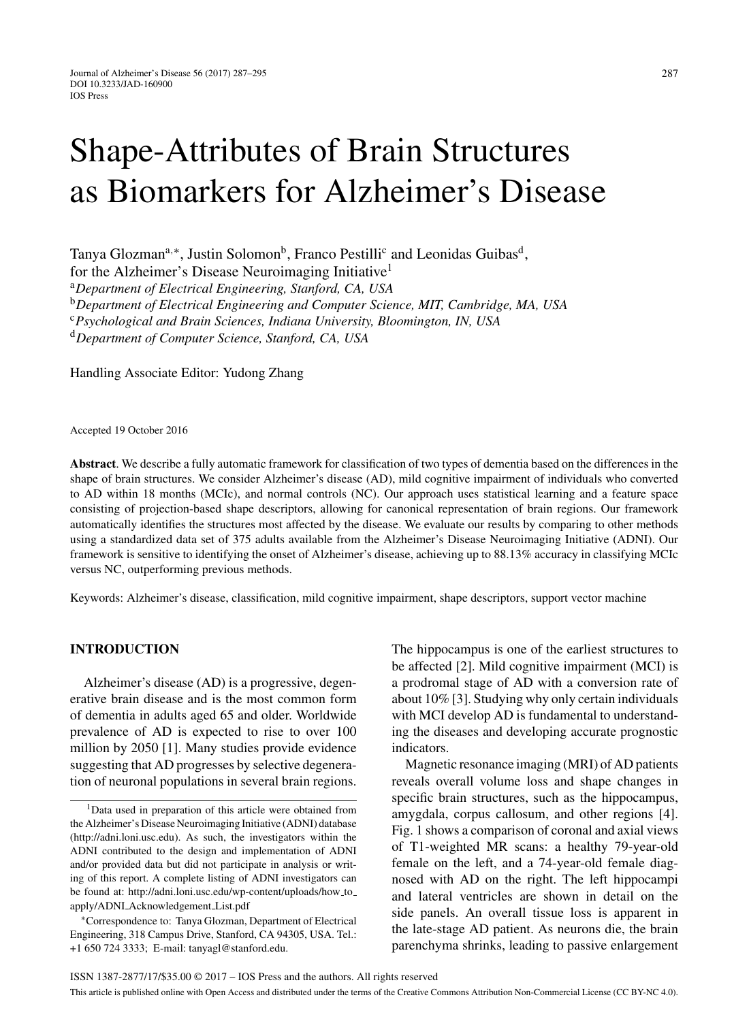# Shape-Attributes of Brain Structures as Biomarkers for Alzheimer's Disease

Tanya Glozman<sup>a,∗</sup>, Justin Solomon<sup>b</sup>, Franco Pestilli<sup>c</sup> and Leonidas Guibas<sup>d</sup>, for the Alzheimer's Disease Neuroimaging Initiative<sup>1</sup> <sup>a</sup>*Department of Electrical Engineering, Stanford, CA, USA* <sup>b</sup>*Department of Electrical Engineering and Computer Science, MIT, Cambridge, MA, USA* <sup>c</sup>*Psychological and Brain Sciences, Indiana University, Bloomington, IN, USA* <sup>d</sup>*Department of Computer Science, Stanford, CA, USA*

Handling Associate Editor: Yudong Zhang

Accepted 19 October 2016

**Abstract**. We describe a fully automatic framework for classification of two types of dementia based on the differences in the shape of brain structures. We consider Alzheimer's disease (AD), mild cognitive impairment of individuals who converted to AD within 18 months (MCIc), and normal controls (NC). Our approach uses statistical learning and a feature space consisting of projection-based shape descriptors, allowing for canonical representation of brain regions. Our framework automatically identifies the structures most affected by the disease. We evaluate our results by comparing to other methods using a standardized data set of 375 adults available from the Alzheimer's Disease Neuroimaging Initiative (ADNI). Our framework is sensitive to identifying the onset of Alzheimer's disease, achieving up to 88.13% accuracy in classifying MCIc versus NC, outperforming previous methods.

Keywords: Alzheimer's disease, classification, mild cognitive impairment, shape descriptors, support vector machine

# **INTRODUCTION**

Alzheimer's disease (AD) is a progressive, degenerative brain disease and is the most common form of dementia in adults aged 65 and older. Worldwide prevalence of AD is expected to rise to over 100 million by 2050 [1]. Many studies provide evidence suggesting that AD progresses by selective degeneration of neuronal populations in several brain regions.

<sup>∗</sup>Correspondence to: Tanya Glozman, Department of Electrical Engineering, 318 Campus Drive, Stanford, CA 94305, USA. Tel.: +1 650 724 3333; E-mail: [tanyagl@stanford.edu.](mailto:tanyagl@stanford.edu)

The hippocampus is one of the earliest structures to be affected [2]. Mild cognitive impairment (MCI) is a prodromal stage of AD with a conversion rate of about 10% [3]. Studying why only certain individuals with MCI develop AD is fundamental to understanding the diseases and developing accurate prognostic indicators.

Magnetic resonance imaging (MRI) of AD patients reveals overall volume loss and shape changes in specific brain structures, such as the hippocampus, amygdala, corpus callosum, and other regions [4]. Fig. 1 shows a comparison of coronal and axial views of T1-weighted MR scans: a healthy 79-year-old female on the left, and a 74-year-old female diagnosed with AD on the right. The left hippocampi and lateral ventricles are shown in detail on the side panels. An overall tissue loss is apparent in the late-stage AD patient. As neurons die, the brain parenchyma shrinks, leading to passive enlargement

<sup>&</sup>lt;sup>1</sup>Data used in preparation of this article were obtained from the Alzheimer's Disease Neuroimaging Initiative (ADNI) database ([http://adni.loni.usc.edu\)](http://adni.loni.usc.edu). As such, the investigators within the ADNI contributed to the design and implementation of ADNI and/or provided data but did not participate in analysis or writing of this report. A complete listing of ADNI investigators can be found at: [http://adni.loni.usc.edu/wp-content/uploads/how](http://adni.loni.usc.edu/wp-content/uploads/how_to_apply/ADNI_Acknowledgement_List.pdf") to apply/ADNI [Acknowledgement](http://adni.loni.usc.edu/wp-content/uploads/how_to_apply/ADNI_Acknowledgement_List.pdf") List.pdf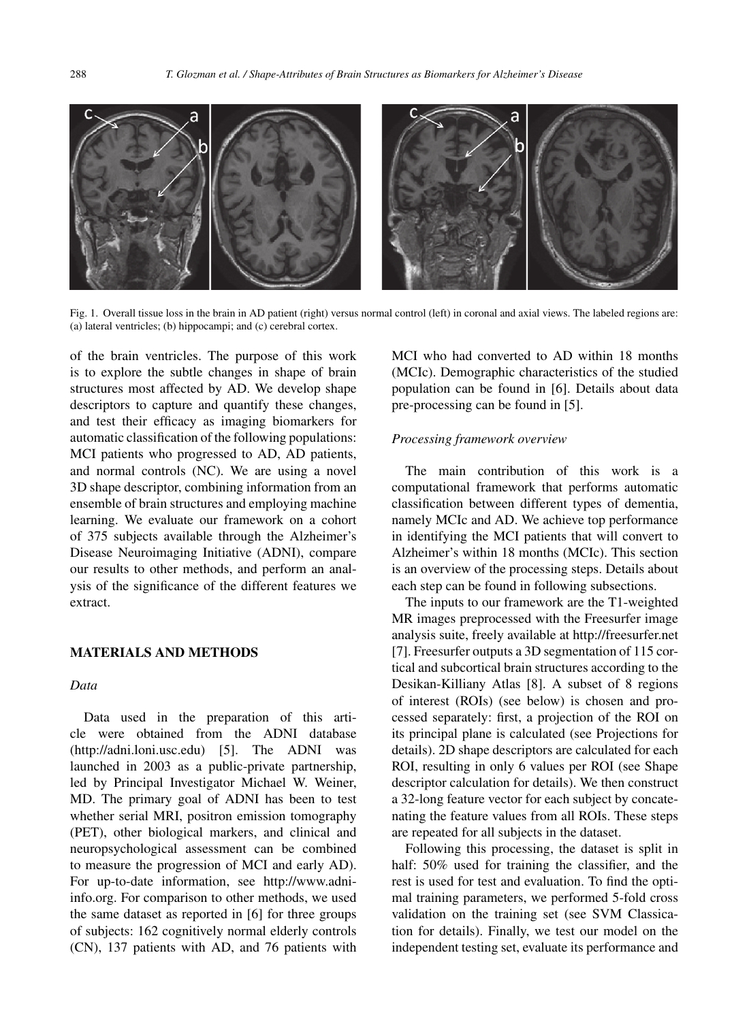

Fig. 1. Overall tissue loss in the brain in AD patient (right) versus normal control (left) in coronal and axial views. The labeled regions are: (a) lateral ventricles; (b) hippocampi; and (c) cerebral cortex.

of the brain ventricles. The purpose of this work is to explore the subtle changes in shape of brain structures most affected by AD. We develop shape descriptors to capture and quantify these changes, and test their efficacy as imaging biomarkers for automatic classification of the following populations: MCI patients who progressed to AD, AD patients, and normal controls (NC). We are using a novel 3D shape descriptor, combining information from an ensemble of brain structures and employing machine learning. We evaluate our framework on a cohort of 375 subjects available through the Alzheimer's Disease Neuroimaging Initiative (ADNI), compare our results to other methods, and perform an analysis of the significance of the different features we extract.

# **MATERIALS AND METHODS**

## *Data*

Data used in the preparation of this article were obtained from the ADNI database [\(http://adni.loni.usc.edu\)]((http://adni.loni.usc.edu)) [5]. The ADNI was launched in 2003 as a public-private partnership, led by Principal Investigator Michael W. Weiner, MD. The primary goal of ADNI has been to test whether serial MRI, positron emission tomography (PET), other biological markers, and clinical and neuropsychological assessment can be combined to measure the progression of MCI and early AD). For up-to-date information, see [http://www.adni](http://www.adni-info.org.)[info.org.](http://www.adni-info.org.) For comparison to other methods, we used the same dataset as reported in [6] for three groups of subjects: 162 cognitively normal elderly controls (CN), 137 patients with AD, and 76 patients with

MCI who had converted to AD within 18 months (MCIc). Demographic characteristics of the studied population can be found in [6]. Details about data pre-processing can be found in [5].

## *Processing framework overview*

The main contribution of this work is a computational framework that performs automatic classification between different types of dementia, namely MCIc and AD. We achieve top performance in identifying the MCI patients that will convert to Alzheimer's within 18 months (MCIc). This section is an overview of the processing steps. Details about each step can be found in following subsections.

The inputs to our framework are the T1-weighted MR images preprocessed with the Freesurfer image analysis suite, freely available at<http://freesurfer.net> [7]. Freesurfer outputs a 3D segmentation of 115 cortical and subcortical brain structures according to the Desikan-Killiany Atlas [8]. A subset of 8 regions of interest (ROIs) (see below) is chosen and processed separately: first, a projection of the ROI on its principal plane is calculated (see Projections for details). 2D shape descriptors are calculated for each ROI, resulting in only 6 values per ROI (see Shape descriptor calculation for details). We then construct a 32-long feature vector for each subject by concatenating the feature values from all ROIs. These steps are repeated for all subjects in the dataset.

Following this processing, the dataset is split in half: 50% used for training the classifier, and the rest is used for test and evaluation. To find the optimal training parameters, we performed 5-fold cross validation on the training set (see SVM Classication for details). Finally, we test our model on the independent testing set, evaluate its performance and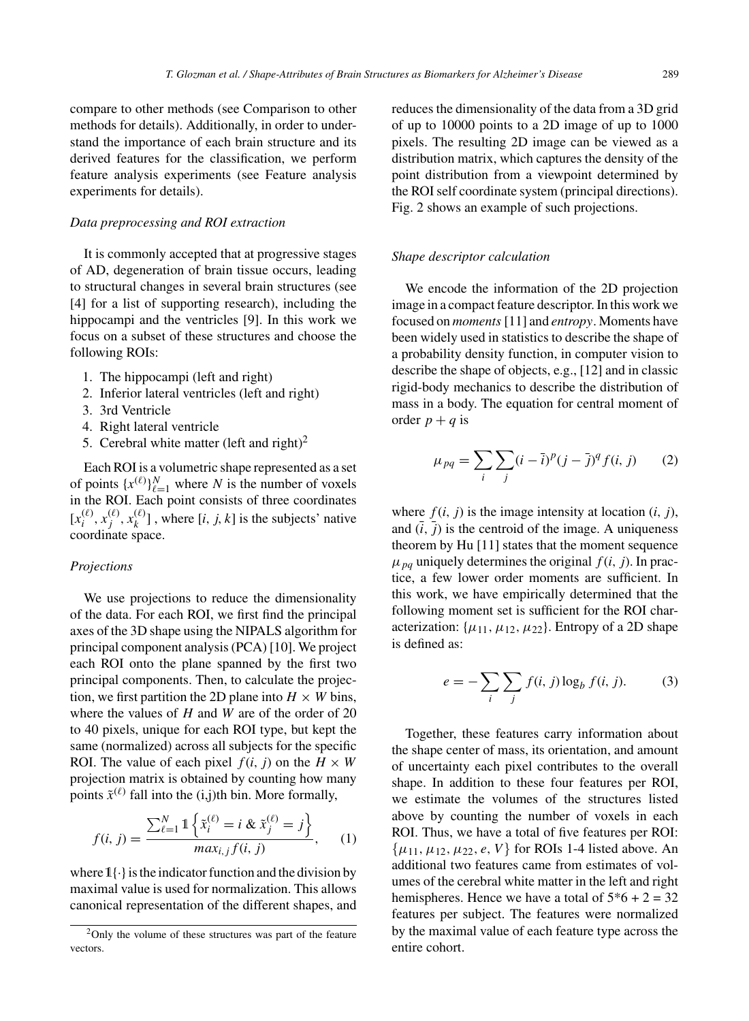compare to other methods (see Comparison to other methods for details). Additionally, in order to understand the importance of each brain structure and its derived features for the classification, we perform feature analysis experiments (see Feature analysis experiments for details).

# *Data preprocessing and ROI extraction*

It is commonly accepted that at progressive stages of AD, degeneration of brain tissue occurs, leading to structural changes in several brain structures (see [4] for a list of supporting research), including the hippocampi and the ventricles [9]. In this work we focus on a subset of these structures and choose the following ROIs:

- 1. The hippocampi (left and right)
- 2. Inferior lateral ventricles (left and right)
- 3. 3rd Ventricle
- 4. Right lateral ventricle
- 5. Cerebral white matter (left and right)<sup>2</sup>

Each ROI is a volumetric shape represented as a set of points  $\{x^{(\ell)}\}_{\ell=1}^N$  where *N* is the number of voxels in the ROI. Each point consists of three coordinates  $[x_i^{(\ell)}, x_j^{(\ell)}, x_k^{(\ell)}]$ , where [*i, j, k*] is the subjects' native coordinate space.

#### *Projections*

We use projections to reduce the dimensionality of the data. For each ROI, we first find the principal axes of the 3D shape using the NIPALS algorithm for principal component analysis (PCA) [10]. We project each ROI onto the plane spanned by the first two principal components. Then, to calculate the projection, we first partition the 2D plane into  $H \times W$  bins, where the values of *H* and *W* are of the order of 20 to 40 pixels, unique for each ROI type, but kept the same (normalized) across all subjects for the specific ROI. The value of each pixel  $f(i, j)$  on the  $H \times W$ projection matrix is obtained by counting how many points  $\tilde{x}^{(\ell)}$  fall into the (i,j)th bin. More formally,

$$
f(i, j) = \frac{\sum_{\ell=1}^{N} \mathbb{1}\left\{\tilde{x}_i^{(\ell)} = i \& \tilde{x}_j^{(\ell)} = j\right\}}{\max_{i, j} f(i, j)}, \quad (1)
$$

where  $\mathbb{1}\{\cdot\}$  is the indicator function and the division by maximal value is used for normalization. This allows canonical representation of the different shapes, and reduces the dimensionality of the data from a 3D grid of up to 10000 points to a 2D image of up to 1000 pixels. The resulting 2D image can be viewed as a distribution matrix, which captures the density of the point distribution from a viewpoint determined by the ROI self coordinate system (principal directions). Fig. 2 shows an example of such projections.

#### *Shape descriptor calculation*

We encode the information of the 2D projection image in a compact feature descriptor. In this work we focused on *moments* [11] and *entropy*. Moments have been widely used in statistics to describe the shape of a probability density function, in computer vision to describe the shape of objects, e.g., [12] and in classic rigid-body mechanics to describe the distribution of mass in a body. The equation for central moment of order  $p + q$  is

$$
\mu_{pq} = \sum_{i} \sum_{j} (i - \bar{i})^p (j - \bar{j})^q f(i, j) \qquad (2)
$$

where  $f(i, j)$  is the image intensity at location  $(i, j)$ , and  $(\overline{i}, \overline{j})$  is the centroid of the image. A uniqueness theorem by Hu [11] states that the moment sequence  $\mu_{pa}$  uniquely determines the original  $f(i, j)$ . In practice, a few lower order moments are sufficient. In this work, we have empirically determined that the following moment set is sufficient for the ROI characterization:  $\{\mu_{11}, \mu_{12}, \mu_{22}\}$ . Entropy of a 2D shape is defined as:

$$
e = -\sum_{i} \sum_{j} f(i, j) \log_b f(i, j). \tag{3}
$$

Together, these features carry information about the shape center of mass, its orientation, and amount of uncertainty each pixel contributes to the overall shape. In addition to these four features per ROI, we estimate the volumes of the structures listed above by counting the number of voxels in each ROI. Thus, we have a total of five features per ROI: {*μ*11*, μ*12*, μ*22*, e, V*} for ROIs 1-4 listed above. An additional two features came from estimates of volumes of the cerebral white matter in the left and right hemispheres. Hence we have a total of  $5*6 + 2 = 32$ features per subject. The features were normalized by the maximal value of each feature type across the entire cohort.

<sup>&</sup>lt;sup>2</sup>Only the volume of these structures was part of the feature vectors.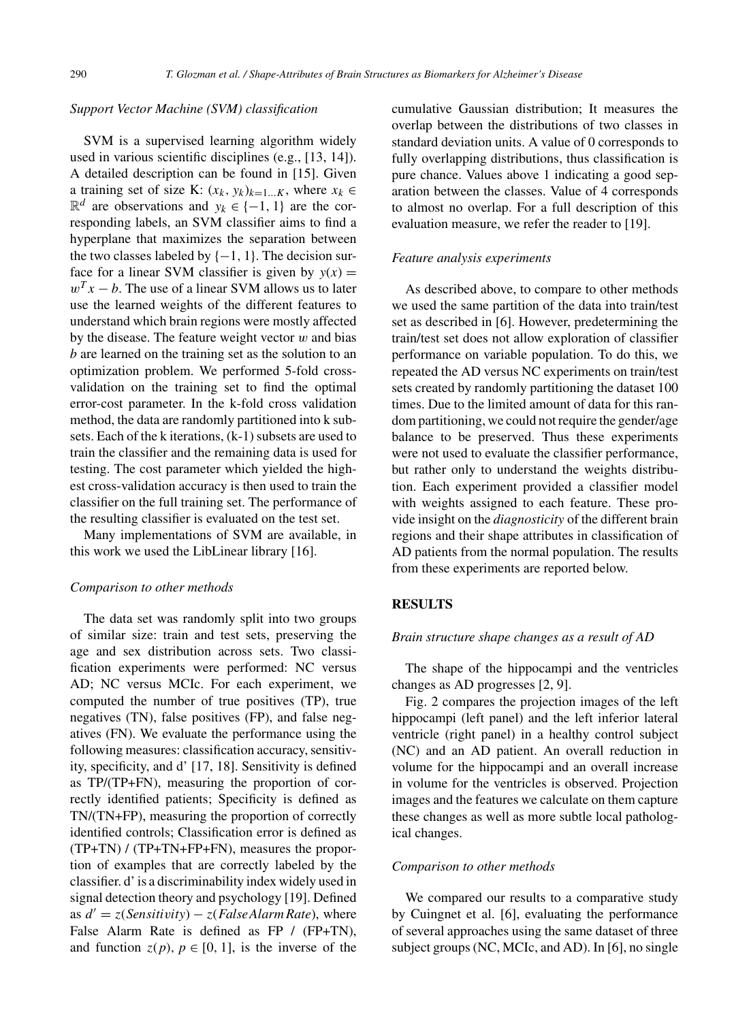# *Support Vector Machine (SVM) classification*

SVM is a supervised learning algorithm widely used in various scientific disciplines (e.g., [13, 14]). A detailed description can be found in [15]. Given a training set of size K:  $(x_k, y_k)_{k=1...K}$ , where  $x_k \in$  $\mathbb{R}^d$  are observations and *y<sub>k</sub>* ∈ {−1, 1} are the corresponding labels, an SVM classifier aims to find a hyperplane that maximizes the separation between the two classes labeled by  $\{-1, 1\}$ . The decision surface for a linear SVM classifier is given by  $y(x) =$  $w<sup>T</sup> x - b$ . The use of a linear SVM allows us to later use the learned weights of the different features to understand which brain regions were mostly affected by the disease. The feature weight vector *w* and bias *b* are learned on the training set as the solution to an optimization problem. We performed 5-fold crossvalidation on the training set to find the optimal error-cost parameter. In the k-fold cross validation method, the data are randomly partitioned into k subsets. Each of the k iterations, (k-1) subsets are used to train the classifier and the remaining data is used for testing. The cost parameter which yielded the highest cross-validation accuracy is then used to train the classifier on the full training set. The performance of the resulting classifier is evaluated on the test set.

Many implementations of SVM are available, in this work we used the LibLinear library [16].

#### *Comparison to other methods*

The data set was randomly split into two groups of similar size: train and test sets, preserving the age and sex distribution across sets. Two classification experiments were performed: NC versus AD; NC versus MCIc. For each experiment, we computed the number of true positives (TP), true negatives (TN), false positives (FP), and false negatives (FN). We evaluate the performance using the following measures: classification accuracy, sensitivity, specificity, and d' [17, 18]. Sensitivity is defined as TP/(TP+FN), measuring the proportion of correctly identified patients; Specificity is defined as TN/(TN+FP), measuring the proportion of correctly identified controls; Classification error is defined as (TP+TN) / (TP+TN+FP+FN), measures the proportion of examples that are correctly labeled by the classifier. d' is a discriminability index widely used in signal detection theory and psychology [19]. Defined as  $d' = z(Sensitivity) - z(False Alarm Rate)$ , where False Alarm Rate is defined as FP / (FP+TN), and function  $z(p)$ ,  $p \in [0, 1]$ , is the inverse of the

cumulative Gaussian distribution; It measures the overlap between the distributions of two classes in standard deviation units. A value of 0 corresponds to fully overlapping distributions, thus classification is pure chance. Values above 1 indicating a good separation between the classes. Value of 4 corresponds to almost no overlap. For a full description of this evaluation measure, we refer the reader to [19].

#### *Feature analysis experiments*

As described above, to compare to other methods we used the same partition of the data into train/test set as described in [6]. However, predetermining the train/test set does not allow exploration of classifier performance on variable population. To do this, we repeated the AD versus NC experiments on train/test sets created by randomly partitioning the dataset 100 times. Due to the limited amount of data for this random partitioning, we could not require the gender/age balance to be preserved. Thus these experiments were not used to evaluate the classifier performance, but rather only to understand the weights distribution. Each experiment provided a classifier model with weights assigned to each feature. These provide insight on the *diagnosticity* of the different brain regions and their shape attributes in classification of AD patients from the normal population. The results from these experiments are reported below.

# **RESULTS**

# *Brain structure shape changes as a result of AD*

The shape of the hippocampi and the ventricles changes as AD progresses [2, 9].

Fig. 2 compares the projection images of the left hippocampi (left panel) and the left inferior lateral ventricle (right panel) in a healthy control subject (NC) and an AD patient. An overall reduction in volume for the hippocampi and an overall increase in volume for the ventricles is observed. Projection images and the features we calculate on them capture these changes as well as more subtle local pathological changes.

#### *Comparison to other methods*

We compared our results to a comparative study by Cuingnet et al. [6], evaluating the performance of several approaches using the same dataset of three subject groups (NC, MCIc, and AD). In [6], no single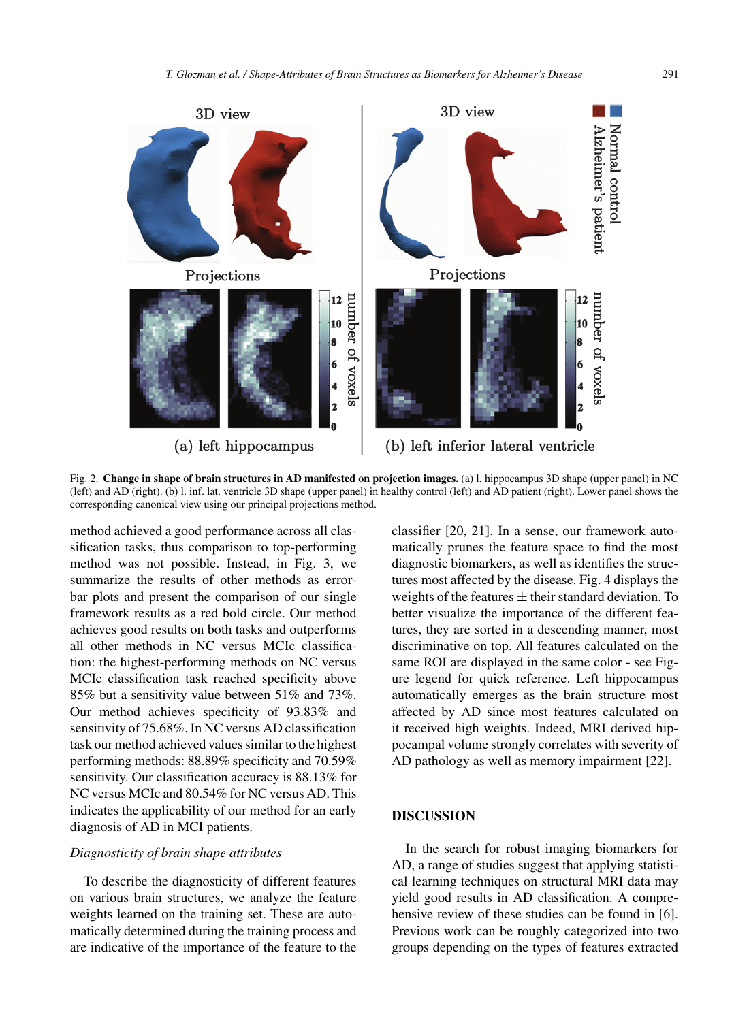

Fig. 2. **Change in shape of brain structures in AD manifested on projection images.** (a) l. hippocampus 3D shape (upper panel) in NC (left) and AD (right). (b) l. inf. lat. ventricle 3D shape (upper panel) in healthy control (left) and AD patient (right). Lower panel shows the corresponding canonical view using our principal projections method.

method achieved a good performance across all classification tasks, thus comparison to top-performing method was not possible. Instead, in Fig. 3, we summarize the results of other methods as errorbar plots and present the comparison of our single framework results as a red bold circle. Our method achieves good results on both tasks and outperforms all other methods in NC versus MCIc classification: the highest-performing methods on NC versus MCIc classification task reached specificity above 85% but a sensitivity value between 51% and 73%. Our method achieves specificity of 93.83% and sensitivity of 75.68%. In NC versus AD classification task our method achieved values similar to the highest performing methods: 88.89% specificity and 70.59% sensitivity. Our classification accuracy is 88.13% for NC versus MCIc and 80.54% for NC versus AD. This indicates the applicability of our method for an early diagnosis of AD in MCI patients.

#### *Diagnosticity of brain shape attributes*

To describe the diagnosticity of different features on various brain structures, we analyze the feature weights learned on the training set. These are automatically determined during the training process and are indicative of the importance of the feature to the

classifier [20, 21]. In a sense, our framework automatically prunes the feature space to find the most diagnostic biomarkers, as well as identifies the structures most affected by the disease. Fig. 4 displays the weights of the features  $\pm$  their standard deviation. To better visualize the importance of the different features, they are sorted in a descending manner, most discriminative on top. All features calculated on the same ROI are displayed in the same color - see Figure legend for quick reference. Left hippocampus automatically emerges as the brain structure most affected by AD since most features calculated on it received high weights. Indeed, MRI derived hippocampal volume strongly correlates with severity of AD pathology as well as memory impairment [22].

# **DISCUSSION**

In the search for robust imaging biomarkers for AD, a range of studies suggest that applying statistical learning techniques on structural MRI data may yield good results in AD classification. A comprehensive review of these studies can be found in [6]. Previous work can be roughly categorized into two groups depending on the types of features extracted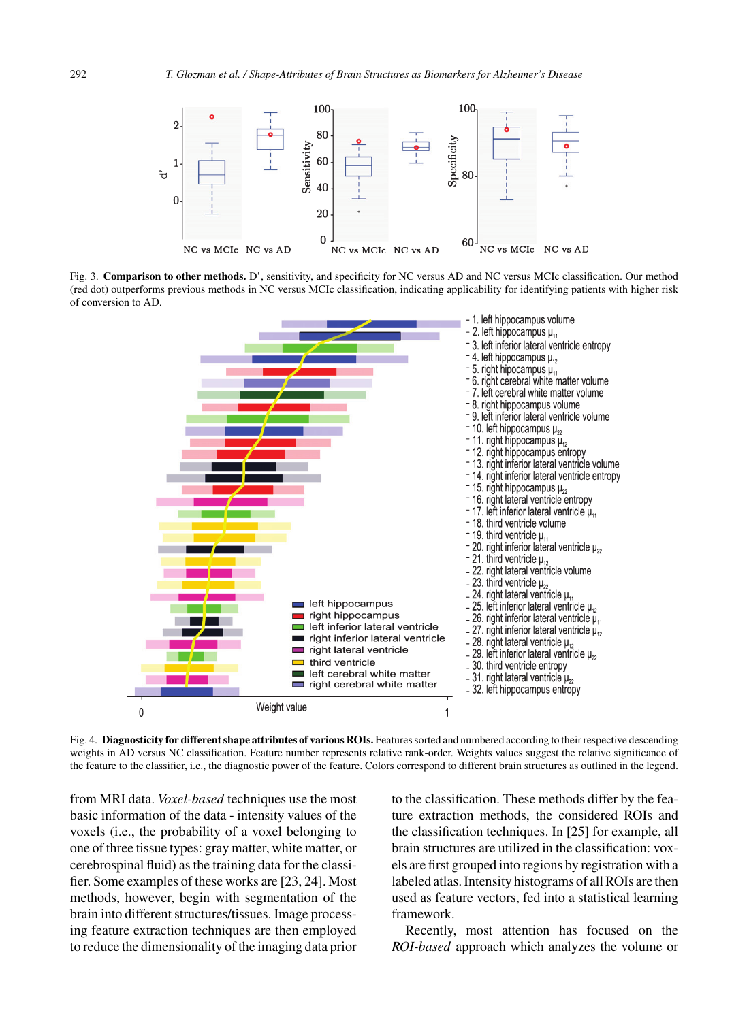

Fig. 3. **Comparison to other methods.** D', sensitivity, and specificity for NC versus AD and NC versus MCIc classification. Our method (red dot) outperforms previous methods in NC versus MCIc classification, indicating applicability for identifying patients with higher risk of conversion to AD.



Fig. 4. **Diagnosticity for different shape attributes of various ROIs.** Features sorted and numbered according to their respective descending weights in AD versus NC classification. Feature number represents relative rank-order. Weights values suggest the relative significance of the feature to the classifier, i.e., the diagnostic power of the feature. Colors correspond to different brain structures as outlined in the legend.

from MRI data. *Voxel-based* techniques use the most basic information of the data - intensity values of the voxels (i.e., the probability of a voxel belonging to one of three tissue types: gray matter, white matter, or cerebrospinal fluid) as the training data for the classifier. Some examples of these works are [23, 24]. Most methods, however, begin with segmentation of the brain into different structures/tissues. Image processing feature extraction techniques are then employed to reduce the dimensionality of the imaging data prior

to the classification. These methods differ by the feature extraction methods, the considered ROIs and the classification techniques. In [25] for example, all brain structures are utilized in the classification: voxels are first grouped into regions by registration with a labeled atlas. Intensity histograms of all ROIs are then used as feature vectors, fed into a statistical learning framework.

Recently, most attention has focused on the *ROI-based* approach which analyzes the volume or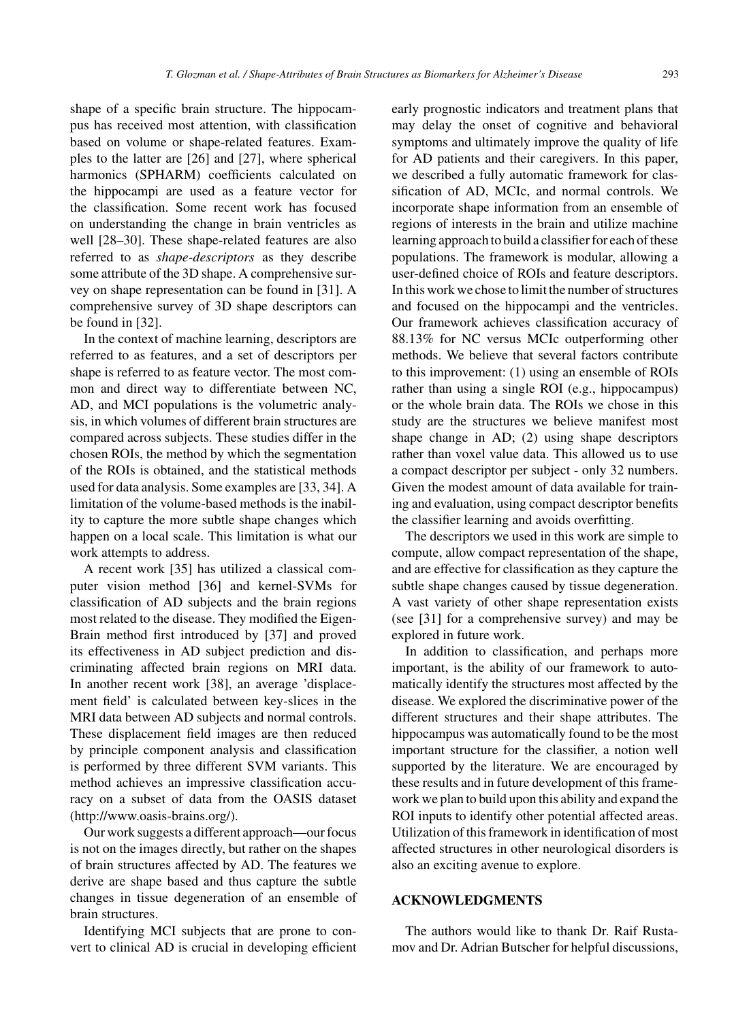shape of a specific brain structure. The hippocampus has received most attention, with classification based on volume or shape-related features. Examples to the latter are [26] and [27], where spherical harmonics (SPHARM) coefficients calculated on the hippocampi are used as a feature vector for the classification. Some recent work has focused on understanding the change in brain ventricles as well [28–30]. These shape-related features are also referred to as *shape-descriptors* as they describe some attribute of the 3D shape. A comprehensive survey on shape representation can be found in [31]. A comprehensive survey of 3D shape descriptors can be found in [32].

In the context of machine learning, descriptors are referred to as features, and a set of descriptors per shape is referred to as feature vector. The most common and direct way to differentiate between NC, AD, and MCI populations is the volumetric analysis, in which volumes of different brain structures are compared across subjects. These studies differ in the chosen ROIs, the method by which the segmentation of the ROIs is obtained, and the statistical methods used for data analysis. Some examples are [33, 34]. A limitation of the volume-based methods is the inability to capture the more subtle shape changes which happen on a local scale. This limitation is what our work attempts to address.

A recent work [35] has utilized a classical computer vision method [36] and kernel-SVMs for classification of AD subjects and the brain regions most related to the disease. They modified the Eigen-Brain method first introduced by [37] and proved its effectiveness in AD subject prediction and discriminating affected brain regions on MRI data. In another recent work [38], an average 'displacement field' is calculated between key-slices in the MRI data between AD subjects and normal controls. These displacement field images are then reduced by principle component analysis and classification is performed by three different SVM variants. This method achieves an impressive classification accuracy on a subset of data from the OASIS dataset (http://www.oasis-brains.org/).

Our work suggests a different approach—our focus is not on the images directly, but rather on the shapes of brain structures affected by AD. The features we derive are shape based and thus capture the subtle changes in tissue degeneration of an ensemble of brain structures.

Identifying MCI subjects that are prone to convert to clinical AD is crucial in developing efficient early prognostic indicators and treatment plans that may delay the onset of cognitive and behavioral symptoms and ultimately improve the quality of life for AD patients and their caregivers. In this paper, we described a fully automatic framework for classification of AD, MCIc, and normal controls. We incorporate shape information from an ensemble of regions of interests in the brain and utilize machine learning approach to build a classifier for each of these populations. The framework is modular, allowing a user-defined choice of ROIs and feature descriptors. In this work we chose to limit the number of structures and focused on the hippocampi and the ventricles. Our framework achieves classification accuracy of 88.13% for NC versus MCIc outperforming other methods. We believe that several factors contribute to this improvement: (1) using an ensemble of ROIs rather than using a single ROI (e.g., hippocampus) or the whole brain data. The ROIs we chose in this study are the structures we believe manifest most shape change in AD; (2) using shape descriptors rather than voxel value data. This allowed us to use a compact descriptor per subject - only 32 numbers. Given the modest amount of data available for training and evaluation, using compact descriptor benefits the classifier learning and avoids overfitting.

The descriptors we used in this work are simple to compute, allow compact representation of the shape, and are effective for classification as they capture the subtle shape changes caused by tissue degeneration. A vast variety of other shape representation exists (see [31] for a comprehensive survey) and may be explored in future work.

In addition to classification, and perhaps more important, is the ability of our framework to automatically identify the structures most affected by the disease. We explored the discriminative power of the different structures and their shape attributes. The hippocampus was automatically found to be the most important structure for the classifier, a notion well supported by the literature. We are encouraged by these results and in future development of this framework we plan to build upon this ability and expand the ROI inputs to identify other potential affected areas. Utilization of this framework in identification of most affected structures in other neurological disorders is also an exciting avenue to explore.

## **ACKNOWLEDGMENTS**

The authors would like to thank Dr. Raif Rustamov and Dr. Adrian Butscher for helpful discussions,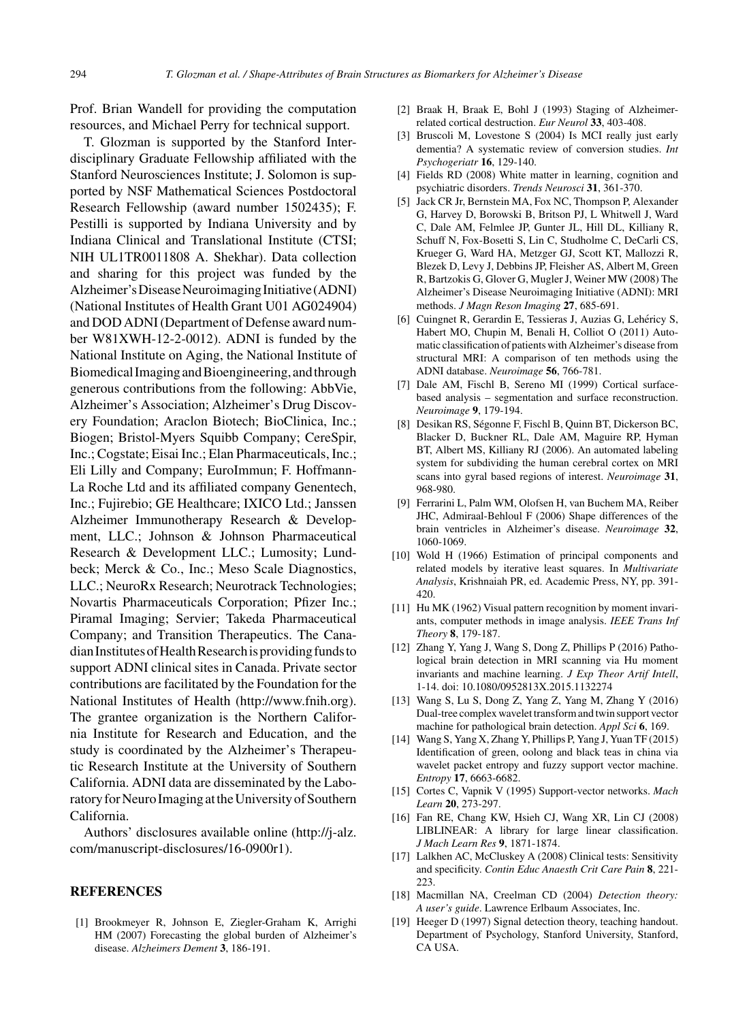Prof. Brian Wandell for providing the computation resources, and Michael Perry for technical support.

T. Glozman is supported by the Stanford Interdisciplinary Graduate Fellowship affiliated with the Stanford Neurosciences Institute; J. Solomon is supported by NSF Mathematical Sciences Postdoctoral Research Fellowship (award number 1502435); F. Pestilli is supported by Indiana University and by Indiana Clinical and Translational Institute (CTSI; NIH UL1TR0011808 A. Shekhar). Data collection and sharing for this project was funded by the Alzheimer'sDiseaseNeuroimagingInitiative(ADNI) (National Institutes of Health Grant U01 AG024904) and DOD ADNI (Department of Defense award number W81XWH-12-2-0012). ADNI is funded by the National Institute on Aging, the National Institute of BiomedicalImagingandBioengineering,andthrough generous contributions from the following: AbbVie, Alzheimer's Association; Alzheimer's Drug Discovery Foundation; Araclon Biotech; BioClinica, Inc.; Biogen; Bristol-Myers Squibb Company; CereSpir, Inc.; Cogstate; Eisai Inc.; Elan Pharmaceuticals, Inc.; Eli Lilly and Company; EuroImmun; F. Hoffmann-La Roche Ltd and its affiliated company Genentech, Inc.; Fujirebio; GE Healthcare; IXICO Ltd.; Janssen Alzheimer Immunotherapy Research & Development, LLC.; Johnson & Johnson Pharmaceutical Research & Development LLC.; Lumosity; Lundbeck; Merck & Co., Inc.; Meso Scale Diagnostics, LLC.; NeuroRx Research; Neurotrack Technologies; Novartis Pharmaceuticals Corporation; Pfizer Inc.; Piramal Imaging; Servier; Takeda Pharmaceutical Company; and Transition Therapeutics. The Canadian Institutes of Health Research is providing funds to support ADNI clinical sites in Canada. Private sector contributions are facilitated by the Foundation for the National Institutes of Health (http://www.fnih.org). The grantee organization is the Northern California Institute for Research and Education, and the study is coordinated by the Alzheimer's Therapeutic Research Institute at the University of Southern California. ADNI data are disseminated by the Laboratory for Neuro Imaging at the University of Southern California.

Authors' disclosures available online [\(http://j-alz.]((http://j-alz.com/manuscript-disclosures/16-0900r1).) [com/manuscript-disclosures/16-0900r1\).]((http://j-alz.com/manuscript-disclosures/16-0900r1).)

# **REFERENCES**

[1] Brookmeyer R, Johnson E, Ziegler-Graham K, Arrighi HM (2007) Forecasting the global burden of Alzheimer's disease. *Alzheimers Dement* **3**, 186-191.

- [2] Braak H, Braak E, Bohl J (1993) Staging of Alzheimerrelated cortical destruction. *Eur Neurol* **33**, 403-408.
- [3] Bruscoli M, Lovestone S (2004) Is MCI really just early dementia? A systematic review of conversion studies. *Int Psychogeriatr* **16**, 129-140.
- [4] Fields RD (2008) White matter in learning, cognition and psychiatric disorders. *Trends Neurosci* **31**, 361-370.
- [5] Jack CR Jr, Bernstein MA, Fox NC, Thompson P, Alexander G, Harvey D, Borowski B, Britson PJ, L Whitwell J, Ward C, Dale AM, Felmlee JP, Gunter JL, Hill DL, Killiany R, Schuff N, Fox-Bosetti S, Lin C, Studholme C, DeCarli CS, Krueger G, Ward HA, Metzger GJ, Scott KT, Mallozzi R, Blezek D, Levy J, Debbins JP, Fleisher AS, Albert M, Green R, Bartzokis G, Glover G, Mugler J, Weiner MW (2008) The Alzheimer's Disease Neuroimaging Initiative (ADNI): MRI methods. *J Magn Reson Imaging* **27**, 685-691.
- [6] Cuingnet R, Gerardin E, Tessieras J, Auzias G, Lehéricy S, Habert MO, Chupin M, Benali H, Colliot O (2011) Automatic classification of patients with Alzheimer's disease from structural MRI: A comparison of ten methods using the ADNI database. *Neuroimage* **56**, 766-781.
- [7] Dale AM, Fischl B, Sereno MI (1999) Cortical surfacebased analysis – segmentation and surface reconstruction. *Neuroimage* **9**, 179-194.
- [8] Desikan RS, Ségonne F, Fischl B, Quinn BT, Dickerson BC, Blacker D, Buckner RL, Dale AM, Maguire RP, Hyman BT, Albert MS, Killiany RJ (2006). An automated labeling system for subdividing the human cerebral cortex on MRI scans into gyral based regions of interest. *Neuroimage* **31**, 968-980.
- [9] Ferrarini L, Palm WM, Olofsen H, van Buchem MA, Reiber JHC, Admiraal-Behloul F (2006) Shape differences of the brain ventricles in Alzheimer's disease. *Neuroimage* **32**, 1060-1069.
- [10] Wold H (1966) Estimation of principal components and related models by iterative least squares. In *Multivariate Analysis*, Krishnaiah PR, ed. Academic Press, NY, pp. 391- 420.
- [11] Hu MK (1962) Visual pattern recognition by moment invariants, computer methods in image analysis. *IEEE Trans Inf Theory* **8**, 179-187.
- [12] Zhang Y, Yang J, Wang S, Dong Z, Phillips P (2016) Pathological brain detection in MRI scanning via Hu moment invariants and machine learning. *J Exp Theor Artif Intell*, 1-14. doi: 10.1080/0952813X.2015.1132274
- [13] Wang S, Lu S, Dong Z, Yang Z, Yang M, Zhang Y (2016) Dual-tree complex wavelet transform and twin support vector machine for pathological brain detection. *Appl Sci* **6**, 169.
- [14] Wang S, Yang X, Zhang Y, Phillips P, Yang J, Yuan TF (2015) Identification of green, oolong and black teas in china via wavelet packet entropy and fuzzy support vector machine. *Entropy* **17**, 6663-6682.
- [15] Cortes C, Vapnik V (1995) Support-vector networks. *Mach Learn* **20**, 273-297.
- [16] Fan RE, Chang KW, Hsieh CJ, Wang XR, Lin CJ (2008) LIBLINEAR: A library for large linear classification. *J Mach Learn Res* **9**, 1871-1874.
- [17] Lalkhen AC, McCluskey A (2008) Clinical tests: Sensitivity and specificity. *Contin Educ Anaesth Crit Care Pain* **8**, 221- 223.
- [18] Macmillan NA, Creelman CD (2004) *Detection theory: A user's guide*. Lawrence Erlbaum Associates, Inc.
- [19] Heeger D (1997) Signal detection theory, teaching handout. Department of Psychology, Stanford University, Stanford, CA USA.